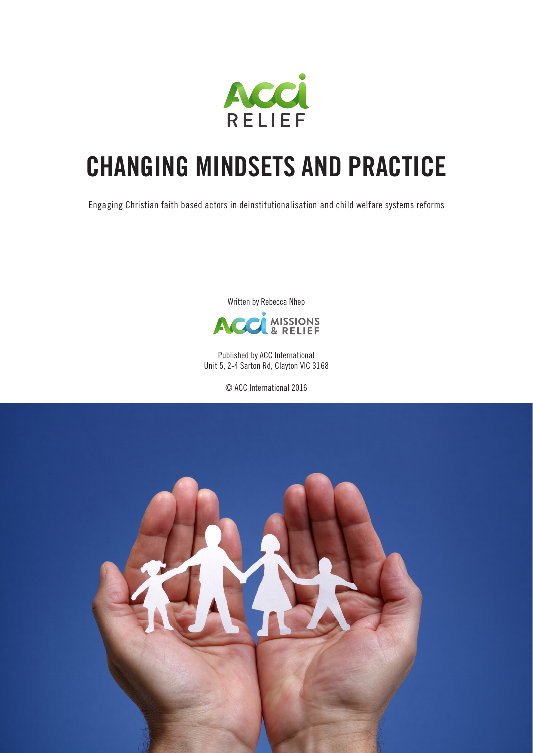

# **CHANGING MINDSETS AND PRACTICE**

Engaging Christian faith based actors in deinstitutionalisation and child welfare systems reforms

Written by Rebecca Nhep



Published by ACC International Unit 5, 2-4 Sarton Rd, Clayton VIC 3168

© ACC International 2016

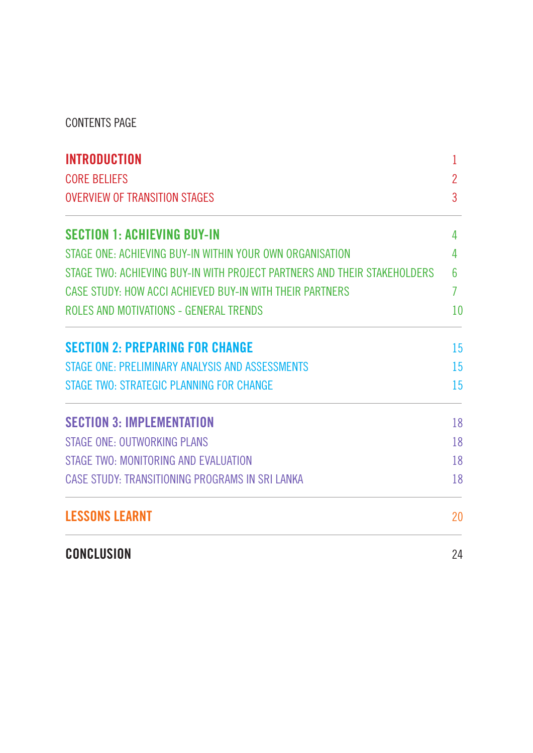CONTENTS PAGE

| <b>INTRODUCTION</b>                                                      |                |  |  |  |  |  |  |
|--------------------------------------------------------------------------|----------------|--|--|--|--|--|--|
| <b>CORE BELIEFS</b>                                                      | $\overline{2}$ |  |  |  |  |  |  |
| <b>OVERVIEW OF TRANSITION STAGES</b>                                     |                |  |  |  |  |  |  |
| <b>SECTION 1: ACHIEVING BUY-IN</b>                                       | 4              |  |  |  |  |  |  |
| STAGE ONE: ACHIEVING BUY-IN WITHIN YOUR OWN ORGANISATION                 | 4              |  |  |  |  |  |  |
| STAGE TWO: ACHIEVING BUY-IN WITH PROJECT PARTNERS AND THEIR STAKEHOLDERS | 6              |  |  |  |  |  |  |
| CASE STUDY: HOW ACCI ACHIEVED BUY-IN WITH THEIR PARTNERS                 | 7              |  |  |  |  |  |  |
| ROLES AND MOTIVATIONS - GENERAL TRENDS                                   | 10             |  |  |  |  |  |  |
| <b>SECTION 2: PREPARING FOR CHANGE</b>                                   | 15             |  |  |  |  |  |  |
| STAGE ONE: PRELIMINARY ANALYSIS AND ASSESSMENTS                          | 15             |  |  |  |  |  |  |
| STAGE TWO: STRATEGIC PLANNING FOR CHANGE                                 | 15             |  |  |  |  |  |  |
| <b>SECTION 3: IMPLEMENTATION</b>                                         | 18             |  |  |  |  |  |  |
| <b>STAGE ONE: OUTWORKING PLANS</b>                                       | 18             |  |  |  |  |  |  |
| STAGE TWO: MONITORING AND EVALUATION                                     | 18             |  |  |  |  |  |  |
| CASE STUDY: TRANSITIONING PROGRAMS IN SRI LANKA                          | 18             |  |  |  |  |  |  |
| <b>LESSONS LEARNT</b>                                                    | 20             |  |  |  |  |  |  |
| <b>CONCLUSION</b>                                                        | 24             |  |  |  |  |  |  |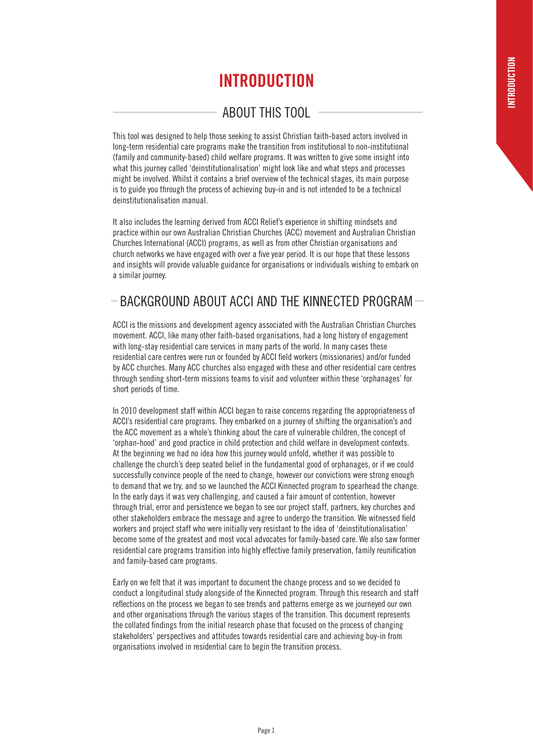# **INTRODUCTION**

# ABOUT THIS TOOL

This tool was designed to help those seeking to assist Christian faith-based actors involved in long-term residential care programs make the transition from institutional to non-institutional (family and community-based) child welfare programs. It was written to give some insight into what this journey called 'deinstitutionalisation' might look like and what steps and processes might be involved. Whilst it contains a brief overview of the technical stages, its main purpose is to guide you through the process of achieving buy-in and is not intended to be a technical deinstitutionalisation manual.

It also includes the learning derived from ACCI Relief's experience in shifting mindsets and practice within our own Australian Christian Churches (ACC) movement and Australian Christian Churches International (ACCI) programs, as well as from other Christian organisations and church networks we have engaged with over a five year period. It is our hope that these lessons and insights will provide valuable guidance for organisations or individuals wishing to embark on a similar journey.

# $-$ BACKGROUND ABOUT ACCI AND THE KINNECTED PROGRAM $-$

ACCI is the missions and development agency associated with the Australian Christian Churches movement. ACCI, like many other faith-based organisations, had a long history of engagement with long-stay residential care services in many parts of the world. In many cases these residential care centres were run or founded by ACCI field workers (missionaries) and/or funded by ACC churches. Many ACC churches also engaged with these and other residential care centres through sending short-term missions teams to visit and volunteer within these 'orphanages' for short periods of time.

In 2010 development staff within ACCI began to raise concerns regarding the appropriateness of ACCI's residential care programs. They embarked on a journey of shifting the organisation's and the ACC movement as a whole's thinking about the care of vulnerable children, the concept of 'orphan-hood' and good practice in child protection and child welfare in development contexts. At the beginning we had no idea how this journey would unfold, whether it was possible to challenge the church's deep seated belief in the fundamental good of orphanages, or if we could successfully convince people of the need to change, however our convictions were strong enough to demand that we try, and so we launched the ACCI Kinnected program to spearhead the change. In the early days it was very challenging, and caused a fair amount of contention, however through trial, error and persistence we began to see our project staff, partners, key churches and other stakeholders embrace the message and agree to undergo the transition. We witnessed field workers and project staff who were initially very resistant to the idea of 'deinstitutionalisation' become some of the greatest and most vocal advocates for family-based care. We also saw former residential care programs transition into highly effective family preservation, family reunification and family-based care programs.

Early on we felt that it was important to document the change process and so we decided to conduct a longitudinal study alongside of the Kinnected program. Through this research and staff reflections on the process we began to see trends and patterns emerge as we journeyed our own and other organisations through the various stages of the transition. This document represents the collated findings from the initial research phase that focused on the process of changing stakeholders' perspectives and attitudes towards residential care and achieving buy-in from organisations involved in residential care to begin the transition process.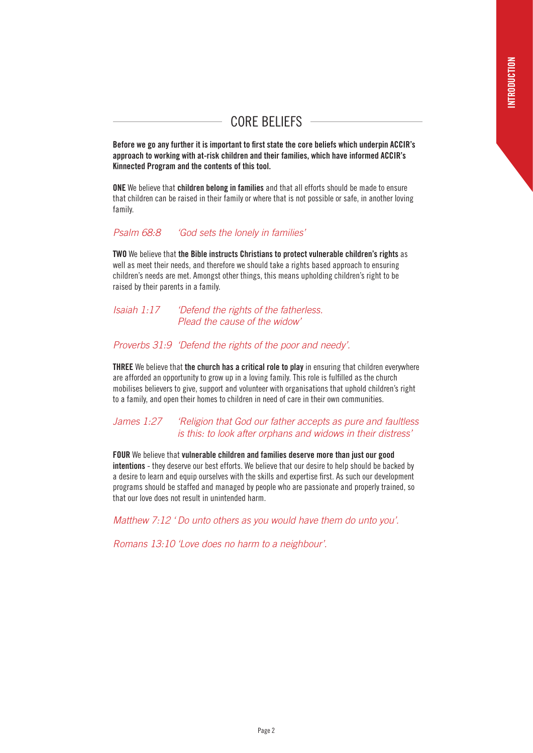# CORE BELIEFS

**Before we go any further it is important to first state the core beliefs which underpin ACCIR's approach to working with at-risk children and their families, which have informed ACCIR's Kinnected Program and the contents of this tool.** 

**ONE** We believe that **children belong in families** and that all efforts should be made to ensure that children can be raised in their family or where that is not possible or safe, in another loving family.

#### *Psalm 68:8 'God sets the lonely in families'*

**TWO** We believe that **the Bible instructs Christians to protect vulnerable children's rights** as well as meet their needs, and therefore we should take a rights based approach to ensuring children's needs are met. Amongst other things, this means upholding children's right to be raised by their parents in a family.

#### *Isaiah 1:17 'Defend the rights of the fatherless. Plead the cause of the widow'*

#### *Proverbs 31:9 'Defend the rights of the poor and needy'.*

**THREE** We believe that **the church has a critical role to play** in ensuring that children everywhere are afforded an opportunity to grow up in a loving family. This role is fulfilled as the church mobilises believers to give, support and volunteer with organisations that uphold children's right to a family, and open their homes to children in need of care in their own communities.

#### *James 1:27 'Religion that God our father accepts as pure and faultless is this: to look after orphans and widows in their distress'*

**FOUR** We believe that **vulnerable children and families deserve more than just our good intentions** - they deserve our best efforts. We believe that our desire to help should be backed by a desire to learn and equip ourselves with the skills and expertise first. As such our development programs should be staffed and managed by people who are passionate and properly trained, so that our love does not result in unintended harm.

*Matthew 7:12 ' Do unto others as you would have them do unto you'.* 

*Romans 13:10 'Love does no harm to a neighbour'.*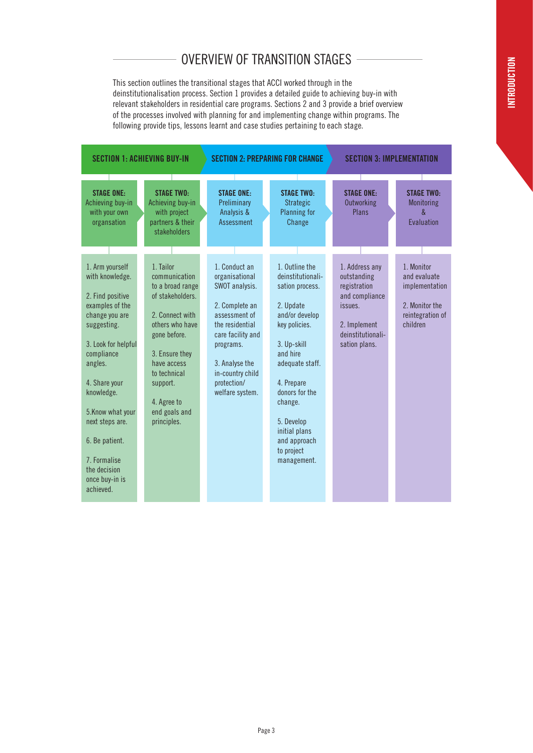# OVERVIEW OF TRANSITION STAGES

This section outlines the transitional stages that ACCI worked through in the deinstitutionalisation process. Section 1 provides a detailed guide to achieving buy-in with relevant stakeholders in residential care programs. Sections 2 and 3 provide a brief overview of the processes involved with planning for and implementing change within programs. The following provide tips, lessons learnt and case studies pertaining to each stage.

| <b>SECTION 1: ACHIEVING BUY-IN</b>                                    |  |                                                                                           | <b>SECTION 2: PREPARING FOR CHANGE</b>                             |  |                                                                 |  | <b>SECTION 3: IMPLEMENTATION</b>                   |  |                                                    |  |
|-----------------------------------------------------------------------|--|-------------------------------------------------------------------------------------------|--------------------------------------------------------------------|--|-----------------------------------------------------------------|--|----------------------------------------------------|--|----------------------------------------------------|--|
| <b>STAGE ONE:</b><br>Achieving buy-in<br>with your own<br>organsation |  | <b>STAGE TWO:</b><br>Achieving buy-in<br>with project<br>partners & their<br>stakeholders | <b>STAGE ONE:</b><br>Preliminary<br>Analysis &<br>Assessment       |  | <b>STAGE TWO:</b><br><b>Strategic</b><br>Planning for<br>Change |  | <b>STAGE ONE:</b><br>Outworking<br>Plans           |  | <b>STAGE TWO:</b><br>Monitoring<br>ጼ<br>Evaluation |  |
| 1. Arm yourself<br>with knowledge.                                    |  | 1. Tailor<br>communication                                                                | 1. Conduct an<br>organisational                                    |  | 1. Outline the<br>deinstitutionali-                             |  | 1. Address any<br>outstanding                      |  | 1. Monitor<br>and evaluate                         |  |
| 2. Find positive<br>examples of the                                   |  | to a broad range<br>of stakeholders.                                                      | SWOT analysis.<br>2. Complete an                                   |  | sation process.<br>2. Update                                    |  | registration<br>and compliance<br>issues.          |  | implementation<br>2. Monitor the                   |  |
| change you are<br>suggesting.<br>3. Look for helpful                  |  | 2. Connect with<br>others who have<br>gone before.                                        | assessment of<br>the residential<br>care facility and<br>programs. |  | and/or develop<br>key policies.<br>3. Up-skill                  |  | 2. Implement<br>deinstitutionali-<br>sation plans. |  | reintegration of<br>children                       |  |
| compliance<br>angles.                                                 |  | 3. Ensure they<br>have access<br>to technical                                             | 3. Analyse the<br>in-country child                                 |  | and hire<br>adequate staff.                                     |  |                                                    |  |                                                    |  |
| 4. Share your<br>knowledge.                                           |  | support.<br>4. Agree to                                                                   | protection/<br>welfare system.                                     |  | 4. Prepare<br>donors for the<br>change.                         |  |                                                    |  |                                                    |  |
| 5. Know what your<br>next steps are.<br>6. Be patient.                |  | end goals and<br>principles.                                                              |                                                                    |  | 5. Develop<br>initial plans<br>and approach                     |  |                                                    |  |                                                    |  |
| 7. Formalise<br>the decision                                          |  |                                                                                           |                                                                    |  | to project<br>management.                                       |  |                                                    |  |                                                    |  |
| once buy-in is<br>achieved.                                           |  |                                                                                           |                                                                    |  |                                                                 |  |                                                    |  |                                                    |  |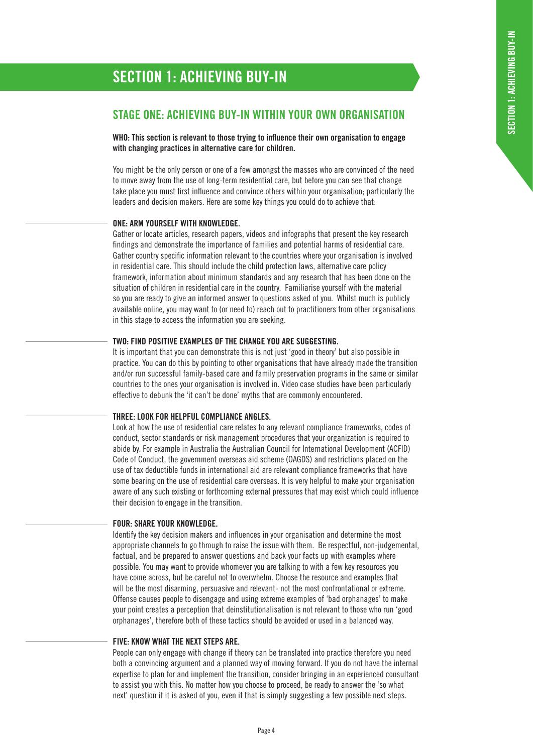# **SECTION 1: ACHIEVING BUY-IN**

### **STAGE ONE: ACHIEVING BUY-IN WITHIN YOUR OWN ORGANISATION**

**WHO: This section is relevant to those trying to influence their own organisation to engage with changing practices in alternative care for children.**

You might be the only person or one of a few amongst the masses who are convinced of the need to move away from the use of long-term residential care, but before you can see that change take place you must first influence and convince others within your organisation; particularly the leaders and decision makers. Here are some key things you could do to achieve that:

#### **ONE: ARM YOURSELF WITH KNOWLEDGE.**

Gather or locate articles, research papers, videos and infographs that present the key research findings and demonstrate the importance of families and potential harms of residential care. Gather country specific information relevant to the countries where your organisation is involved in residential care. This should include the child protection laws, alternative care policy framework, information about minimum standards and any research that has been done on the situation of children in residential care in the country. Familiarise yourself with the material so you are ready to give an informed answer to questions asked of you. Whilst much is publicly available online, you may want to (or need to) reach out to practitioners from other organisations in this stage to access the information you are seeking.

#### **TWO: FIND POSITIVE EXAMPLES OF THE CHANGE YOU ARE SUGGESTING.**

It is important that you can demonstrate this is not just 'good in theory' but also possible in practice. You can do this by pointing to other organisations that have already made the transition and/or run successful family-based care and family preservation programs in the same or similar countries to the ones your organisation is involved in. Video case studies have been particularly effective to debunk the 'it can't be done' myths that are commonly encountered.

#### **THREE: LOOK FOR HELPFUL COMPLIANCE ANGLES.**

Look at how the use of residential care relates to any relevant compliance frameworks, codes of conduct, sector standards or risk management procedures that your organization is required to abide by. For example in Australia the Australian Council for International Development (ACFID) Code of Conduct, the government overseas aid scheme (OAGDS) and restrictions placed on the use of tax deductible funds in international aid are relevant compliance frameworks that have some bearing on the use of residential care overseas. It is very helpful to make your organisation aware of any such existing or forthcoming external pressures that may exist which could influence their decision to engage in the transition.

#### **FOUR: SHARE YOUR KNOWLEDGE.**

Identify the key decision makers and influences in your organisation and determine the most appropriate channels to go through to raise the issue with them. Be respectful, non-judgemental, factual, and be prepared to answer questions and back your facts up with examples where possible. You may want to provide whomever you are talking to with a few key resources you have come across, but be careful not to overwhelm. Choose the resource and examples that will be the most disarming, persuasive and relevant- not the most confrontational or extreme. Offense causes people to disengage and using extreme examples of 'bad orphanages' to make your point creates a perception that deinstitutionalisation is not relevant to those who run 'good orphanages', therefore both of these tactics should be avoided or used in a balanced way.

#### **FIVE: KNOW WHAT THE NEXT STEPS ARE.**

People can only engage with change if theory can be translated into practice therefore you need both a convincing argument and a planned way of moving forward. If you do not have the internal expertise to plan for and implement the transition, consider bringing in an experienced consultant to assist you with this. No matter how you choose to proceed, be ready to answer the 'so what next' question if it is asked of you, even if that is simply suggesting a few possible next steps.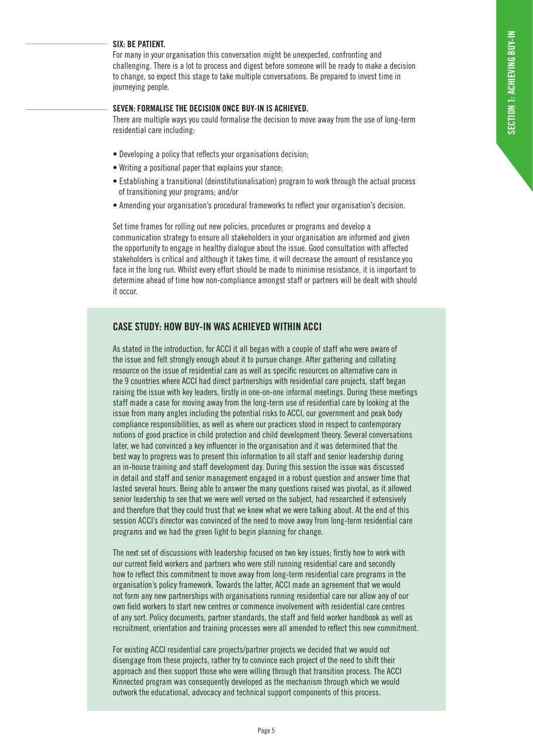#### **SIX: BE PATIENT.**

For many in your organisation this conversation might be unexpected, confronting and challenging. There is a lot to process and digest before someone will be ready to make a decision to change, so expect this stage to take multiple conversations. Be prepared to invest time in journeying people.

#### **SEVEN: FORMALISE THE DECISION ONCE BUY-IN IS ACHIEVED.**

There are multiple ways you could formalise the decision to move away from the use of long-term residential care including:

- Developing a policy that reflects your organisations decision;
- Writing a positional paper that explains your stance;
- Establishing a transitional (deinstitutionalisation) program to work through the actual process of transitioning your programs; and/or
- Amending your organisation's procedural frameworks to reflect your organisation's decision.

Set time frames for rolling out new policies, procedures or programs and develop a communication strategy to ensure all stakeholders in your organisation are informed and given the opportunity to engage in healthy dialogue about the issue. Good consultation with affected stakeholders is critical and although it takes time, it will decrease the amount of resistance you face in the long run. Whilst every effort should be made to minimise resistance, it is important to determine ahead of time how non-compliance amongst staff or partners will be dealt with should it occur.

#### **CASE STUDY: HOW BUY-IN WAS ACHIEVED WITHIN ACCI**

As stated in the introduction, for ACCI it all began with a couple of staff who were aware of the issue and felt strongly enough about it to pursue change. After gathering and collating resource on the issue of residential care as well as specific resources on alternative care in the 9 countries where ACCI had direct partnerships with residential care projects, staff began raising the issue with key leaders, firstly in one-on-one informal meetings. During these meetings staff made a case for moving away from the long-term use of residential care by looking at the issue from many angles including the potential risks to ACCI, our government and peak body compliance responsibilities, as well as where our practices stood in respect to contemporary notions of good practice in child protection and child development theory. Several conversations later, we had convinced a key influencer in the organisation and it was determined that the best way to progress was to present this information to all staff and senior leadership during an in-house training and staff development day. During this session the issue was discussed in detail and staff and senior management engaged in a robust question and answer time that lasted several hours. Being able to answer the many questions raised was pivotal, as it allowed senior leadership to see that we were well versed on the subject, had researched it extensively and therefore that they could trust that we knew what we were talking about. At the end of this session ACCI's director was convinced of the need to move away from long-term residential care programs and we had the green light to begin planning for change.

The next set of discussions with leadership focused on two key issues; firstly how to work with our current field workers and partners who were still running residential care and secondly how to reflect this commitment to move away from long-term residential care programs in the organisation's policy framework. Towards the latter, ACCI made an agreement that we would not form any new partnerships with organisations running residential care nor allow any of our own field workers to start new centres or commence involvement with residential care centres of any sort. Policy documents, partner standards, the staff and field worker handbook as well as recruitment, orientation and training processes were all amended to reflect this new commitment.

For existing ACCI residential care projects/partner projects we decided that we would not disengage from these projects, rather try to convince each project of the need to shift their approach and then support those who were willing through that transition process. The ACCI Kinnected program was consequently developed as the mechanism through which we would outwork the educational, advocacy and technical support components of this process.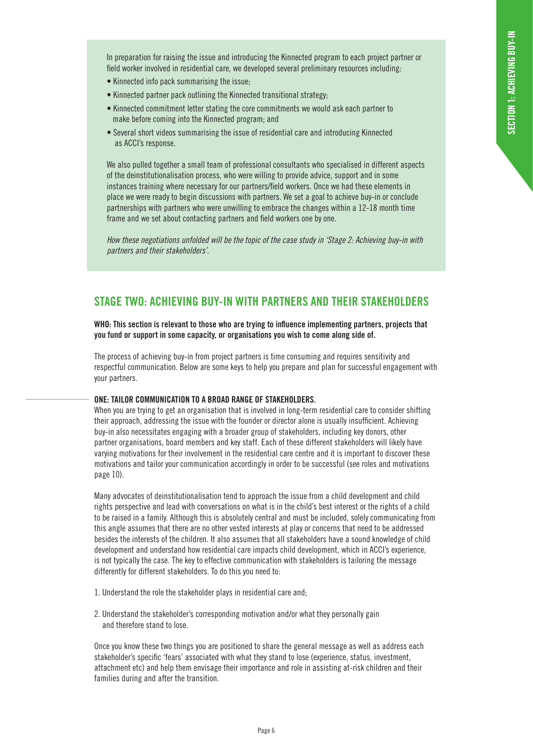In preparation for raising the issue and introducing the Kinnected program to each project partner or field worker involved in residential care, we developed several preliminary resources including:

- Kinnected info pack summarising the issue;
- Kinnected partner pack outlining the Kinnected transitional strategy;
- Kinnected commitment letter stating the core commitments we would ask each partner to make before coming into the Kinnected program; and
- Several short videos summarising the issue of residential care and introducing Kinnected as ACCI's response.

We also pulled together a small team of professional consultants who specialised in different aspects of the deinstitutionalisation process, who were willing to provide advice, support and in some instances training where necessary for our partners/field workers. Once we had these elements in place we were ready to begin discussions with partners. We set a goal to achieve buy-in or conclude partnerships with partners who were unwilling to embrace the changes within a 12-18 month time frame and we set about contacting partners and field workers one by one.

*How these negotiations unfolded will be the topic of the case study in 'Stage 2: Achieving buy-in with partners and their stakeholders'*.

# **STAGE TWO: ACHIEVING BUY-IN WITH PARTNERS AND THEIR STAKEHOLDERS**

**WHO: This section is relevant to those who are trying to influence implementing partners, projects that you fund or support in some capacity, or organisations you wish to come along side of.** 

The process of achieving buy-in from project partners is time consuming and requires sensitivity and respectful communication. Below are some keys to help you prepare and plan for successful engagement with your partners.

#### **ONE: TAILOR COMMUNICATION TO A BROAD RANGE OF STAKEHOLDERS.**

When you are trying to get an organisation that is involved in long-term residential care to consider shifting their approach, addressing the issue with the founder or director alone is usually insufficient. Achieving buy-in also necessitates engaging with a broader group of stakeholders, including key donors, other partner organisations, board members and key staff. Each of these different stakeholders will likely have varying motivations for their involvement in the residential care centre and it is important to discover these motivations and tailor your communication accordingly in order to be successful (see roles and motivations page 10).

Many advocates of deinstitutionalisation tend to approach the issue from a child development and child rights perspective and lead with conversations on what is in the child's best interest or the rights of a child to be raised in a family. Although this is absolutely central and must be included, solely communicating from this angle assumes that there are no other vested interests at play or concerns that need to be addressed besides the interests of the children. It also assumes that all stakeholders have a sound knowledge of child development and understand how residential care impacts child development, which in ACCI's experience, is not typically the case. The key to effective communication with stakeholders is tailoring the message differently for different stakeholders. To do this you need to:

- 1. Understand the role the stakeholder plays in residential care and;
- 2. Understand the stakeholder's corresponding motivation and/or what they personally gain and therefore stand to lose.

Once you know these two things you are positioned to share the general message as well as address each stakeholder's specific 'fears' associated with what they stand to lose (experience, status, investment, attachment etc) and help them envisage their importance and role in assisting at-risk children and their families during and after the transition.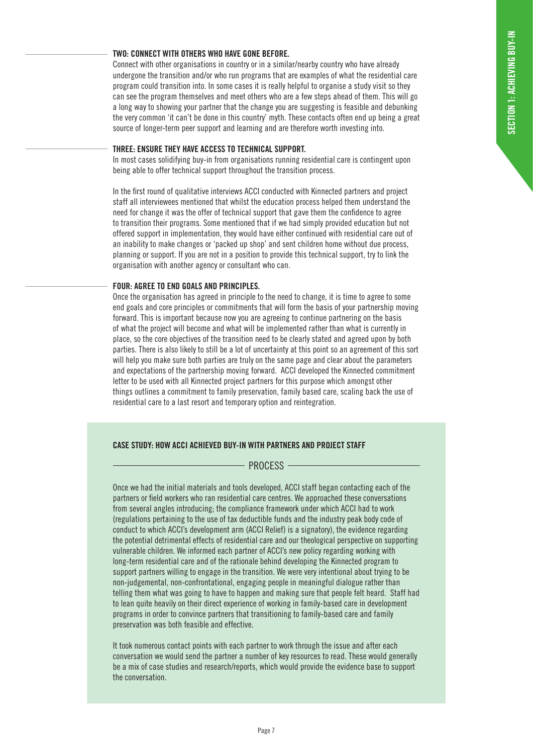#### **TWO: CONNECT WITH OTHERS WHO HAVE GONE BEFORE.**

Connect with other organisations in country or in a similar/nearby country who have already undergone the transition and/or who run programs that are examples of what the residential care program could transition into. In some cases it is really helpful to organise a study visit so they can see the program themselves and meet others who are a few steps ahead of them. This will go a long way to showing your partner that the change you are suggesting is feasible and debunking the very common 'it can't be done in this country' myth. These contacts often end up being a great source of longer-term peer support and learning and are therefore worth investing into.

#### **THREE: ENSURE THEY HAVE ACCESS TO TECHNICAL SUPPORT.**

In most cases solidifying buy-in from organisations running residential care is contingent upon being able to offer technical support throughout the transition process.

In the first round of qualitative interviews ACCI conducted with Kinnected partners and project staff all interviewees mentioned that whilst the education process helped them understand the need for change it was the offer of technical support that gave them the confidence to agree to transition their programs. Some mentioned that if we had simply provided education but not offered support in implementation, they would have either continued with residential care out of an inability to make changes or 'packed up shop' and sent children home without due process, planning or support. If you are not in a position to provide this technical support, try to link the organisation with another agency or consultant who can.

#### **FOUR: AGREE TO END GOALS AND PRINCIPLES.**

Once the organisation has agreed in principle to the need to change, it is time to agree to some end goals and core principles or commitments that will form the basis of your partnership moving forward. This is important because now you are agreeing to continue partnering on the basis of what the project will become and what will be implemented rather than what is currently in place, so the core objectives of the transition need to be clearly stated and agreed upon by both parties. There is also likely to still be a lot of uncertainty at this point so an agreement of this sort will help you make sure both parties are truly on the same page and clear about the parameters and expectations of the partnership moving forward. ACCI developed the Kinnected commitment letter to be used with all Kinnected project partners for this purpose which amongst other things outlines a commitment to family preservation, family based care, scaling back the use of residential care to a last resort and temporary option and reintegration.

#### **CASE STUDY: HOW ACCI ACHIEVED BUY-IN WITH PARTNERS AND PROJECT STAFF**

#### PROCESS -

Once we had the initial materials and tools developed, ACCI staff began contacting each of the partners or field workers who ran residential care centres. We approached these conversations from several angles introducing; the compliance framework under which ACCI had to work (regulations pertaining to the use of tax deductible funds and the industry peak body code of conduct to which ACCI's development arm (ACCI Relief) is a signatory), the evidence regarding the potential detrimental effects of residential care and our theological perspective on supporting vulnerable children. We informed each partner of ACCI's new policy regarding working with long-term residential care and of the rationale behind developing the Kinnected program to support partners willing to engage in the transition. We were very intentional about trying to be non-judgemental, non-confrontational, engaging people in meaningful dialogue rather than telling them what was going to have to happen and making sure that people felt heard. Staff had to lean quite heavily on their direct experience of working in family-based care in development programs in order to convince partners that transitioning to family-based care and family preservation was both feasible and effective.

It took numerous contact points with each partner to work through the issue and after each conversation we would send the partner a number of key resources to read. These would generally be a mix of case studies and research/reports, which would provide the evidence base to support the conversation.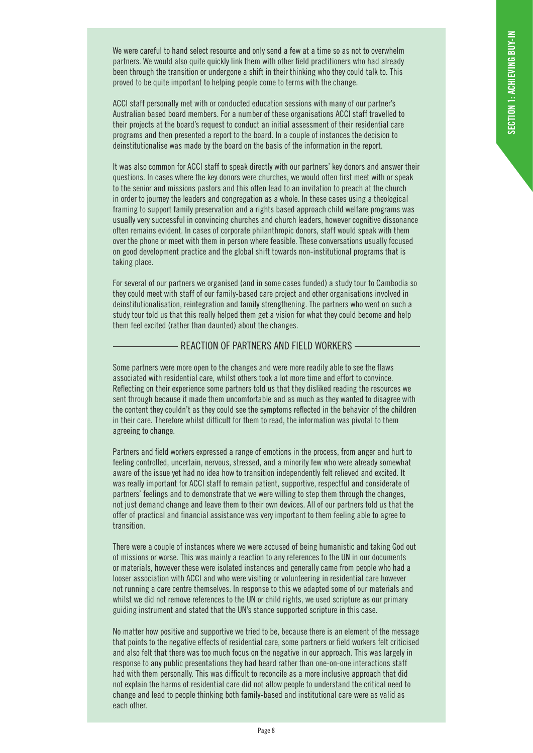We were careful to hand select resource and only send a few at a time so as not to overwhelm partners. We would also quite quickly link them with other field practitioners who had already been through the transition or undergone a shift in their thinking who they could talk to. This proved to be quite important to helping people come to terms with the change.

ACCI staff personally met with or conducted education sessions with many of our partner's Australian based board members. For a number of these organisations ACCI staff travelled to their projects at the board's request to conduct an initial assessment of their residential care programs and then presented a report to the board. In a couple of instances the decision to deinstitutionalise was made by the board on the basis of the information in the report.

It was also common for ACCI staff to speak directly with our partners' key donors and answer their questions. In cases where the key donors were churches, we would often first meet with or speak to the senior and missions pastors and this often lead to an invitation to preach at the church in order to journey the leaders and congregation as a whole. In these cases using a theological framing to support family preservation and a rights based approach child welfare programs was usually very successful in convincing churches and church leaders, however cognitive dissonance often remains evident. In cases of corporate philanthropic donors, staff would speak with them over the phone or meet with them in person where feasible. These conversations usually focused on good development practice and the global shift towards non-institutional programs that is taking place.

For several of our partners we organised (and in some cases funded) a study tour to Cambodia so they could meet with staff of our family-based care project and other organisations involved in deinstitutionalisation, reintegration and family strengthening. The partners who went on such a study tour told us that this really helped them get a vision for what they could become and help them feel excited (rather than daunted) about the changes.

#### REACTION OF PARTNERS AND FIELD WORKERS

Some partners were more open to the changes and were more readily able to see the flaws associated with residential care, whilst others took a lot more time and effort to convince. Reflecting on their experience some partners told us that they disliked reading the resources we sent through because it made them uncomfortable and as much as they wanted to disagree with the content they couldn't as they could see the symptoms reflected in the behavior of the children in their care. Therefore whilst difficult for them to read, the information was pivotal to them agreeing to change.

Partners and field workers expressed a range of emotions in the process, from anger and hurt to feeling controlled, uncertain, nervous, stressed, and a minority few who were already somewhat aware of the issue yet had no idea how to transition independently felt relieved and excited. It was really important for ACCI staff to remain patient, supportive, respectful and considerate of partners' feelings and to demonstrate that we were willing to step them through the changes, not just demand change and leave them to their own devices. All of our partners told us that the offer of practical and financial assistance was very important to them feeling able to agree to transition.

There were a couple of instances where we were accused of being humanistic and taking God out of missions or worse. This was mainly a reaction to any references to the UN in our documents or materials, however these were isolated instances and generally came from people who had a looser association with ACCI and who were visiting or volunteering in residential care however not running a care centre themselves. In response to this we adapted some of our materials and whilst we did not remove references to the UN or child rights, we used scripture as our primary guiding instrument and stated that the UN's stance supported scripture in this case.

No matter how positive and supportive we tried to be, because there is an element of the message that points to the negative effects of residential care, some partners or field workers felt criticised and also felt that there was too much focus on the negative in our approach. This was largely in response to any public presentations they had heard rather than one-on-one interactions staff had with them personally. This was difficult to reconcile as a more inclusive approach that did not explain the harms of residential care did not allow people to understand the critical need to change and lead to people thinking both family-based and institutional care were as valid as each other.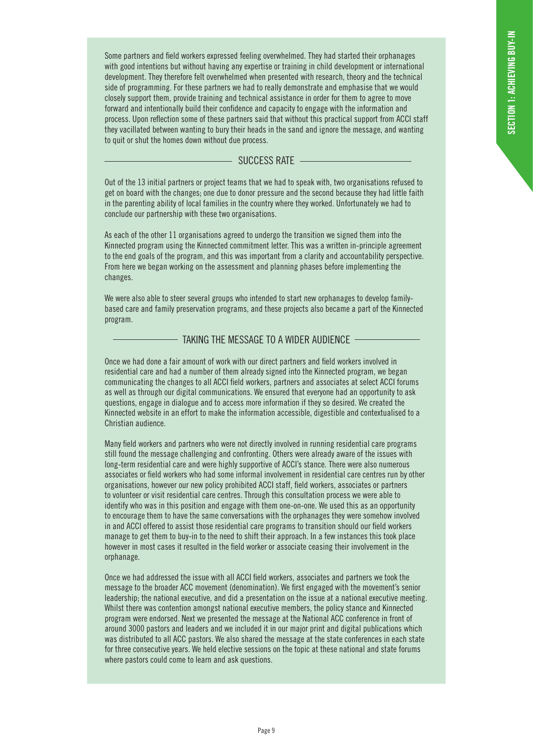Some partners and field workers expressed feeling overwhelmed. They had started their orphanages with good intentions but without having any expertise or training in child development or international development. They therefore felt overwhelmed when presented with research, theory and the technical side of programming. For these partners we had to really demonstrate and emphasise that we would closely support them, provide training and technical assistance in order for them to agree to move forward and intentionally build their confidence and capacity to engage with the information and process. Upon reflection some of these partners said that without this practical support from ACCI staff they vacillated between wanting to bury their heads in the sand and ignore the message, and wanting to quit or shut the homes down without due process.

#### - SUCCESS RATE -

Out of the 13 initial partners or project teams that we had to speak with, two organisations refused to get on board with the changes; one due to donor pressure and the second because they had little faith in the parenting ability of local families in the country where they worked. Unfortunately we had to conclude our partnership with these two organisations.

As each of the other 11 organisations agreed to undergo the transition we signed them into the Kinnected program using the Kinnected commitment letter. This was a written in-principle agreement to the end goals of the program, and this was important from a clarity and accountability perspective. From here we began working on the assessment and planning phases before implementing the changes.

We were also able to steer several groups who intended to start new orphanages to develop familybased care and family preservation programs, and these projects also became a part of the Kinnected program.

#### TAKING THE MESSAGE TO A WIDER AUDIENCE

Once we had done a fair amount of work with our direct partners and field workers involved in residential care and had a number of them already signed into the Kinnected program, we began communicating the changes to all ACCI field workers, partners and associates at select ACCI forums as well as through our digital communications. We ensured that everyone had an opportunity to ask questions, engage in dialogue and to access more information if they so desired. We created the Kinnected website in an effort to make the information accessible, digestible and contextualised to a Christian audience.

Many field workers and partners who were not directly involved in running residential care programs still found the message challenging and confronting. Others were already aware of the issues with long-term residential care and were highly supportive of ACCI's stance. There were also numerous associates or field workers who had some informal involvement in residential care centres run by other organisations, however our new policy prohibited ACCI staff, field workers, associates or partners to volunteer or visit residential care centres. Through this consultation process we were able to identify who was in this position and engage with them one-on-one. We used this as an opportunity to encourage them to have the same conversations with the orphanages they were somehow involved in and ACCI offered to assist those residential care programs to transition should our field workers manage to get them to buy-in to the need to shift their approach. In a few instances this took place however in most cases it resulted in the field worker or associate ceasing their involvement in the orphanage.

Once we had addressed the issue with all ACCI field workers, associates and partners we took the message to the broader ACC movement (denomination). We first engaged with the movement's senior leadership; the national executive, and did a presentation on the issue at a national executive meeting. Whilst there was contention amongst national executive members, the policy stance and Kinnected program were endorsed. Next we presented the message at the National ACC conference in front of around 3000 pastors and leaders and we included it in our major print and digital publications which was distributed to all ACC pastors. We also shared the message at the state conferences in each state for three consecutive years. We held elective sessions on the topic at these national and state forums where pastors could come to learn and ask questions.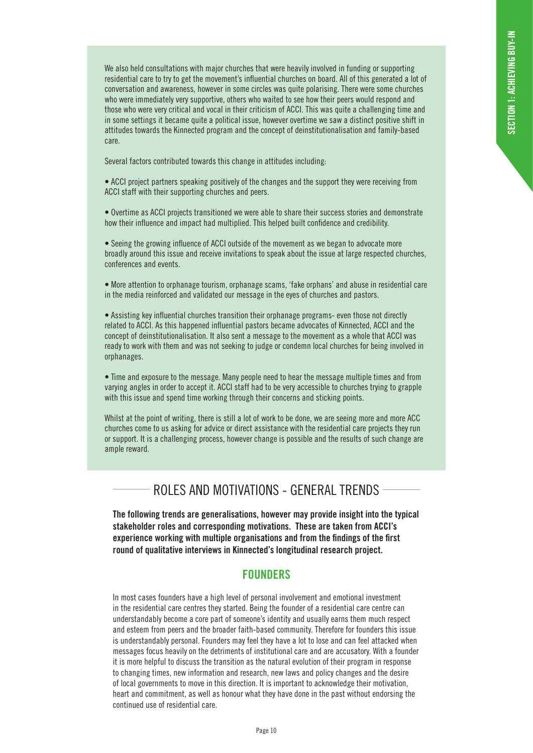We also held consultations with major churches that were heavily involved in funding or supporting residential care to try to get the movement's influential churches on board. All of this generated a lot of conversation and awareness, however in some circles was quite polarising. There were some churches who were immediately very supportive, others who waited to see how their peers would respond and those who were very critical and vocal in their criticism of ACCI. This was quite a challenging time and in some settings it became quite a political issue, however overtime we saw a distinct positive shift in attitudes towards the Kinnected program and the concept of deinstitutionalisation and family-based care.

Several factors contributed towards this change in attitudes including:

• ACCI project partners speaking positively of the changes and the support they were receiving from ACCI staff with their supporting churches and peers.

• Overtime as ACCI projects transitioned we were able to share their success stories and demonstrate how their influence and impact had multiplied. This helped built confidence and credibility.

• Seeing the growing influence of ACCI outside of the movement as we began to advocate more broadly around this issue and receive invitations to speak about the issue at large respected churches, conferences and events.

• More attention to orphanage tourism, orphanage scams, 'fake orphans' and abuse in residential care in the media reinforced and validated our message in the eyes of churches and pastors.

• Assisting key influential churches transition their orphanage programs- even those not directly related to ACCI. As this happened influential pastors became advocates of Kinnected, ACCI and the concept of deinstitutionalisation. It also sent a message to the movement as a whole that ACCI was ready to work with them and was not seeking to judge or condemn local churches for being involved in orphanages.

• Time and exposure to the message. Many people need to hear the message multiple times and from varying angles in order to accept it. ACCI staff had to be very accessible to churches trying to grapple with this issue and spend time working through their concerns and sticking points.

Whilst at the point of writing, there is still a lot of work to be done, we are seeing more and more ACC churches come to us asking for advice or direct assistance with the residential care projects they run or support. It is a challenging process, however change is possible and the results of such change are ample reward.

# ROLES AND MOTIVATIONS - GENERAL TRENDS

**The following trends are generalisations, however may provide insight into the typical stakeholder roles and corresponding motivations. These are taken from ACCI's experience working with multiple organisations and from the findings of the first round of qualitative interviews in Kinnected's longitudinal research project.** 

### **FOUNDERS**

In most cases founders have a high level of personal involvement and emotional investment in the residential care centres they started. Being the founder of a residential care centre can understandably become a core part of someone's identity and usually earns them much respect and esteem from peers and the broader faith-based community. Therefore for founders this issue is understandably personal. Founders may feel they have a lot to lose and can feel attacked when messages focus heavily on the detriments of institutional care and are accusatory. With a founder it is more helpful to discuss the transition as the natural evolution of their program in response to changing times, new information and research, new laws and policy changes and the desire of local governments to move in this direction. It is important to acknowledge their motivation, heart and commitment, as well as honour what they have done in the past without endorsing the continued use of residential care.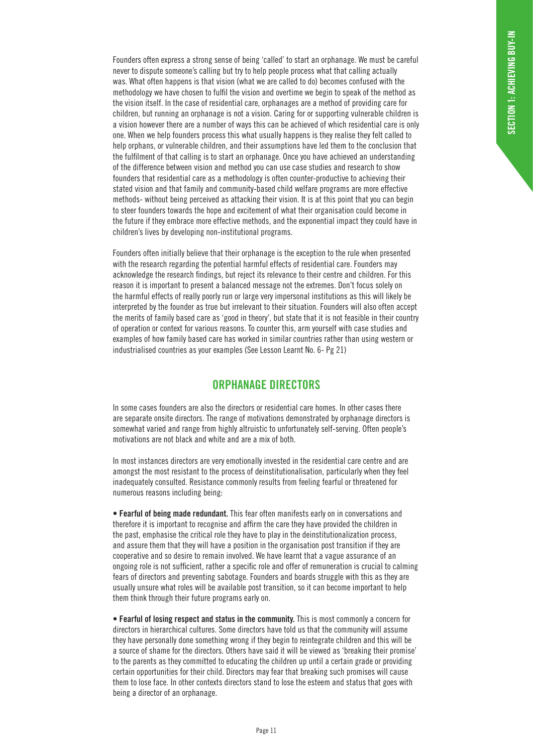Founders often express a strong sense of being 'called' to start an orphanage. We must be careful never to dispute someone's calling but try to help people process what that calling actually was. What often happens is that vision (what we are called to do) becomes confused with the methodology we have chosen to fulfil the vision and overtime we begin to speak of the method as the vision itself. In the case of residential care, orphanages are a method of providing care for children, but running an orphanage is not a vision. Caring for or supporting vulnerable children is a vision however there are a number of ways this can be achieved of which residential care is only one. When we help founders process this what usually happens is they realise they felt called to help orphans, or vulnerable children, and their assumptions have led them to the conclusion that the fulfilment of that calling is to start an orphanage. Once you have achieved an understanding of the difference between vision and method you can use case studies and research to show founders that residential care as a methodology is often counter-productive to achieving their stated vision and that family and community-based child welfare programs are more effective methods- without being perceived as attacking their vision. It is at this point that you can begin to steer founders towards the hope and excitement of what their organisation could become in the future if they embrace more effective methods, and the exponential impact they could have in children's lives by developing non-institutional programs.

Founders often initially believe that their orphanage is the exception to the rule when presented with the research regarding the potential harmful effects of residential care. Founders may acknowledge the research findings, but reject its relevance to their centre and children. For this reason it is important to present a balanced message not the extremes. Don't focus solely on the harmful effects of really poorly run or large very impersonal institutions as this will likely be interpreted by the founder as true but irrelevant to their situation. Founders will also often accept the merits of family based care as 'good in theory', but state that it is not feasible in their country of operation or context for various reasons. To counter this, arm yourself with case studies and examples of how family based care has worked in similar countries rather than using western or industrialised countries as your examples (See Lesson Learnt No. 6- Pg 21)

### **ORPHANAGE DIRECTORS**

In some cases founders are also the directors or residential care homes. In other cases there are separate onsite directors. The range of motivations demonstrated by orphanage directors is somewhat varied and range from highly altruistic to unfortunately self-serving. Often people's motivations are not black and white and are a mix of both.

In most instances directors are very emotionally invested in the residential care centre and are amongst the most resistant to the process of deinstitutionalisation, particularly when they feel inadequately consulted. Resistance commonly results from feeling fearful or threatened for numerous reasons including being:

**• Fearful of being made redundant.** This fear often manifests early on in conversations and therefore it is important to recognise and affirm the care they have provided the children in the past, emphasise the critical role they have to play in the deinstitutionalization process, and assure them that they will have a position in the organisation post transition if they are cooperative and so desire to remain involved. We have learnt that a vague assurance of an ongoing role is not sufficient, rather a specific role and offer of remuneration is crucial to calming fears of directors and preventing sabotage. Founders and boards struggle with this as they are usually unsure what roles will be available post transition, so it can become important to help them think through their future programs early on.

**• Fearful of losing respect and status in the community.** This is most commonly a concern for directors in hierarchical cultures. Some directors have told us that the community will assume they have personally done something wrong if they begin to reintegrate children and this will be a source of shame for the directors. Others have said it will be viewed as 'breaking their promise' to the parents as they committed to educating the children up until a certain grade or providing certain opportunities for their child. Directors may fear that breaking such promises will cause them to lose face. In other contexts directors stand to lose the esteem and status that goes with being a director of an orphanage.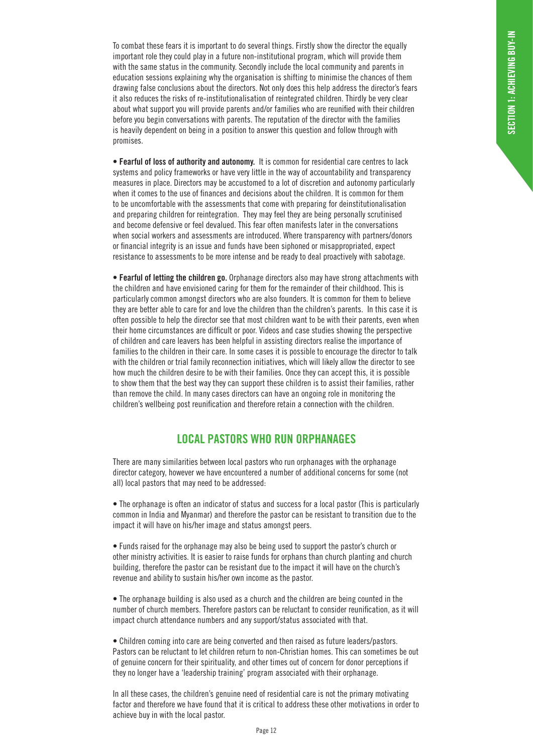To combat these fears it is important to do several things. Firstly show the director the equally important role they could play in a future non-institutional program, which will provide them with the same status in the community. Secondly include the local community and parents in education sessions explaining why the organisation is shifting to minimise the chances of them drawing false conclusions about the directors. Not only does this help address the director's fears it also reduces the risks of re-institutionalisation of reintegrated children. Thirdly be very clear about what support you will provide parents and/or families who are reunified with their children before you begin conversations with parents. The reputation of the director with the families is heavily dependent on being in a position to answer this question and follow through with promises.

**• Fearful of loss of authority and autonomy.** It is common for residential care centres to lack systems and policy frameworks or have very little in the way of accountability and transparency measures in place. Directors may be accustomed to a lot of discretion and autonomy particularly when it comes to the use of finances and decisions about the children. It is common for them to be uncomfortable with the assessments that come with preparing for deinstitutionalisation and preparing children for reintegration. They may feel they are being personally scrutinised and become defensive or feel devalued. This fear often manifests later in the conversations when social workers and assessments are introduced. Where transparency with partners/donors or financial integrity is an issue and funds have been siphoned or misappropriated, expect resistance to assessments to be more intense and be ready to deal proactively with sabotage.

**• Fearful of letting the children go.** Orphanage directors also may have strong attachments with the children and have envisioned caring for them for the remainder of their childhood. This is particularly common amongst directors who are also founders. It is common for them to believe they are better able to care for and love the children than the children's parents. In this case it is often possible to help the director see that most children want to be with their parents, even when their home circumstances are difficult or poor. Videos and case studies showing the perspective of children and care leavers has been helpful in assisting directors realise the importance of families to the children in their care. In some cases it is possible to encourage the director to talk with the children or trial family reconnection initiatives, which will likely allow the director to see how much the children desire to be with their families. Once they can accept this, it is possible to show them that the best way they can support these children is to assist their families, rather than remove the child. In many cases directors can have an ongoing role in monitoring the children's wellbeing post reunification and therefore retain a connection with the children.

## **LOCAL PASTORS WHO RUN ORPHANAGES**

There are many similarities between local pastors who run orphanages with the orphanage director category, however we have encountered a number of additional concerns for some (not all) local pastors that may need to be addressed:

• The orphanage is often an indicator of status and success for a local pastor (This is particularly common in India and Myanmar) and therefore the pastor can be resistant to transition due to the impact it will have on his/her image and status amongst peers.

• Funds raised for the orphanage may also be being used to support the pastor's church or other ministry activities. It is easier to raise funds for orphans than church planting and church building, therefore the pastor can be resistant due to the impact it will have on the church's revenue and ability to sustain his/her own income as the pastor.

• The orphanage building is also used as a church and the children are being counted in the number of church members. Therefore pastors can be reluctant to consider reunification, as it will impact church attendance numbers and any support/status associated with that.

• Children coming into care are being converted and then raised as future leaders/pastors. Pastors can be reluctant to let children return to non-Christian homes. This can sometimes be out of genuine concern for their spirituality, and other times out of concern for donor perceptions if they no longer have a 'leadership training' program associated with their orphanage.

In all these cases, the children's genuine need of residential care is not the primary motivating factor and therefore we have found that it is critical to address these other motivations in order to achieve buy in with the local pastor.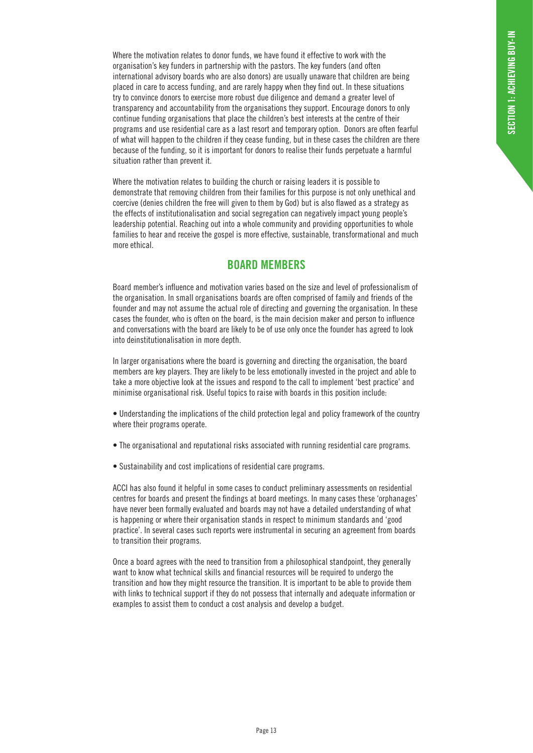Where the motivation relates to donor funds, we have found it effective to work with the organisation's key funders in partnership with the pastors. The key funders (and often international advisory boards who are also donors) are usually unaware that children are being placed in care to access funding, and are rarely happy when they find out. In these situations try to convince donors to exercise more robust due diligence and demand a greater level of transparency and accountability from the organisations they support. Encourage donors to only continue funding organisations that place the children's best interests at the centre of their programs and use residential care as a last resort and temporary option. Donors are often fearful of what will happen to the children if they cease funding, but in these cases the children are there because of the funding, so it is important for donors to realise their funds perpetuate a harmful situation rather than prevent it.

Where the motivation relates to building the church or raising leaders it is possible to demonstrate that removing children from their families for this purpose is not only unethical and coercive (denies children the free will given to them by God) but is also flawed as a strategy as the effects of institutionalisation and social segregation can negatively impact young people's leadership potential. Reaching out into a whole community and providing opportunities to whole families to hear and receive the gospel is more effective, sustainable, transformational and much more ethical.

### **BOARD MEMBERS**

Board member's influence and motivation varies based on the size and level of professionalism of the organisation. In small organisations boards are often comprised of family and friends of the founder and may not assume the actual role of directing and governing the organisation. In these cases the founder, who is often on the board, is the main decision maker and person to influence and conversations with the board are likely to be of use only once the founder has agreed to look into deinstitutionalisation in more depth.

In larger organisations where the board is governing and directing the organisation, the board members are key players. They are likely to be less emotionally invested in the project and able to take a more objective look at the issues and respond to the call to implement 'best practice' and minimise organisational risk. Useful topics to raise with boards in this position include:

- Understanding the implications of the child protection legal and policy framework of the country where their programs operate.
- The organisational and reputational risks associated with running residential care programs.
- Sustainability and cost implications of residential care programs.

ACCI has also found it helpful in some cases to conduct preliminary assessments on residential centres for boards and present the findings at board meetings. In many cases these 'orphanages' have never been formally evaluated and boards may not have a detailed understanding of what is happening or where their organisation stands in respect to minimum standards and 'good practice'. In several cases such reports were instrumental in securing an agreement from boards to transition their programs.

Once a board agrees with the need to transition from a philosophical standpoint, they generally want to know what technical skills and financial resources will be required to undergo the transition and how they might resource the transition. It is important to be able to provide them with links to technical support if they do not possess that internally and adequate information or examples to assist them to conduct a cost analysis and develop a budget.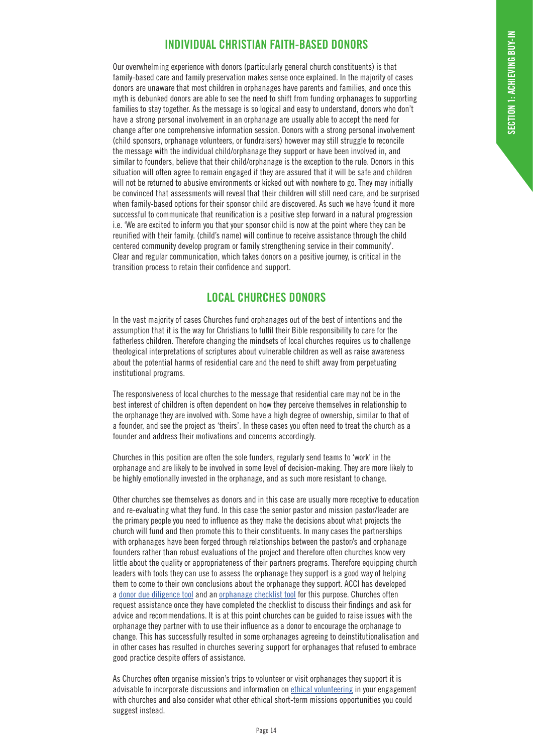# **INDIVIDUAL CHRISTIAN FAITH-BASED DONORS**

Our overwhelming experience with donors (particularly general church constituents) is that family-based care and family preservation makes sense once explained. In the majority of cases donors are unaware that most children in orphanages have parents and families, and once this myth is debunked donors are able to see the need to shift from funding orphanages to supporting families to stay together. As the message is so logical and easy to understand, donors who don't have a strong personal involvement in an orphanage are usually able to accept the need for change after one comprehensive information session. Donors with a strong personal involvement (child sponsors, orphanage volunteers, or fundraisers) however may still struggle to reconcile the message with the individual child/orphanage they support or have been involved in, and similar to founders, believe that their child/orphanage is the exception to the rule. Donors in this situation will often agree to remain engaged if they are assured that it will be safe and children will not be returned to abusive environments or kicked out with nowhere to go. They may initially be convinced that assessments will reveal that their children will still need care, and be surprised when family-based options for their sponsor child are discovered. As such we have found it more successful to communicate that reunification is a positive step forward in a natural progression i.e. 'We are excited to inform you that your sponsor child is now at the point where they can be reunified with their family. (child's name) will continue to receive assistance through the child centered community develop program or family strengthening service in their community'. Clear and regular communication, which takes donors on a positive journey, is critical in the transition process to retain their confidence and support.

### **LOCAL CHURCHES DONORS**

In the vast majority of cases Churches fund orphanages out of the best of intentions and the assumption that it is the way for Christians to fulfil their Bible responsibility to care for the fatherless children. Therefore changing the mindsets of local churches requires us to challenge theological interpretations of scriptures about vulnerable children as well as raise awareness about the potential harms of residential care and the need to shift away from perpetuating institutional programs.

The responsiveness of local churches to the message that residential care may not be in the best interest of children is often dependent on how they perceive themselves in relationship to the orphanage they are involved with. Some have a high degree of ownership, similar to that of a founder, and see the project as 'theirs'. In these cases you often need to treat the church as a founder and address their motivations and concerns accordingly.

Churches in this position are often the sole funders, regularly send teams to 'work' in the orphanage and are likely to be involved in some level of decision-making. They are more likely to be highly emotionally invested in the orphanage, and as such more resistant to change.

Other churches see themselves as donors and in this case are usually more receptive to education and re-evaluating what they fund. In this case the senior pastor and mission pastor/leader are the primary people you need to influence as they make the decisions about what projects the church will fund and then promote this to their constituents. In many cases the partnerships with orphanages have been forged through relationships between the pastor/s and orphanage founders rather than robust evaluations of the project and therefore often churches know very little about the quality or appropriateness of their partners programs. Therefore equipping church leaders with tools they can use to assess the orphanage they support is a good way of helping them to come to their own conclusions about the orphanage they support. ACCI has developed a donor due diligence tool and an orphanage checklist tool for this purpose. Churches often request assistance once they have completed the checklist to discuss their findings and ask for advice and recommendations. It is at this point churches can be guided to raise issues with the orphanage they partner with to use their influence as a donor to encourage the orphanage to change. This has successfully resulted in some orphanages agreeing to deinstitutionalisation and in other cases has resulted in churches severing support for orphanages that refused to embrace good practice despite offers of assistance.

As Churches often organise mission's trips to volunteer or visit orphanages they support it is advisable to incorporate discussions and information on ethical volunteering in your engagement with churches and also consider what other ethical short-term missions opportunities you could suggest instead.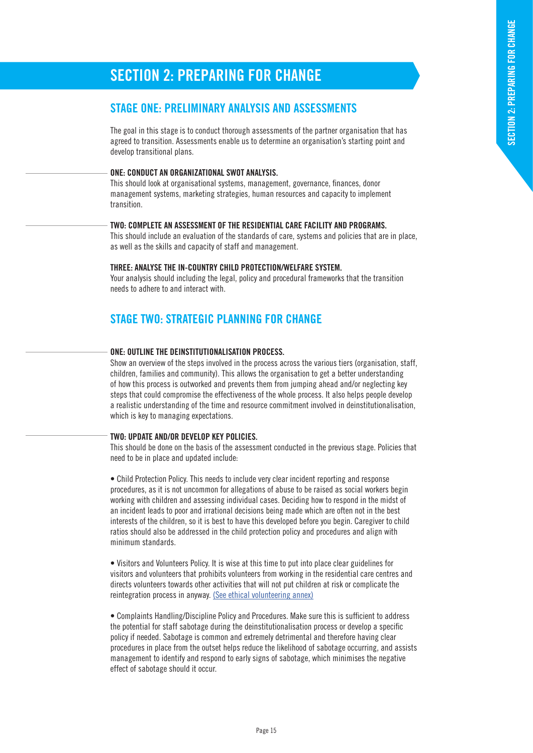# **SECTION 2: PREPARING FOR CHANGE**

### **STAGE ONE: PRELIMINARY ANALYSIS AND ASSESSMENTS**

The goal in this stage is to conduct thorough assessments of the partner organisation that has agreed to transition. Assessments enable us to determine an organisation's starting point and develop transitional plans.

#### **ONE: CONDUCT AN ORGANIZATIONAL SWOT ANALYSIS.**

This should look at organisational systems, management, governance, finances, donor management systems, marketing strategies, human resources and capacity to implement transition.

#### **TWO: COMPLETE AN ASSESSMENT OF THE RESIDENTIAL CARE FACILITY AND PROGRAMS.**

This should include an evaluation of the standards of care, systems and policies that are in place, as well as the skills and capacity of staff and management.

#### **THREE: ANALYSE THE IN-COUNTRY CHILD PROTECTION/WELFARE SYSTEM.**

Your analysis should including the legal, policy and procedural frameworks that the transition needs to adhere to and interact with.

### **STAGE TWO: STRATEGIC PLANNING FOR CHANGE**

#### **ONE: OUTLINE THE DEINSTITUTIONALISATION PROCESS.**

Show an overview of the steps involved in the process across the various tiers (organisation, staff, children, families and community). This allows the organisation to get a better understanding of how this process is outworked and prevents them from jumping ahead and/or neglecting key steps that could compromise the effectiveness of the whole process. It also helps people develop a realistic understanding of the time and resource commitment involved in deinstitutionalisation, which is key to managing expectations.

#### **TWO: UPDATE AND/OR DEVELOP KEY POLICIES.**

This should be done on the basis of the assessment conducted in the previous stage. Policies that need to be in place and updated include:

• Child Protection Policy. This needs to include very clear incident reporting and response procedures, as it is not uncommon for allegations of abuse to be raised as social workers begin working with children and assessing individual cases. Deciding how to respond in the midst of an incident leads to poor and irrational decisions being made which are often not in the best interests of the children, so it is best to have this developed before you begin. Caregiver to child ratios should also be addressed in the child protection policy and procedures and align with minimum standards.

• Visitors and Volunteers Policy. It is wise at this time to put into place clear guidelines for visitors and volunteers that prohibits volunteers from working in the residential care centres and directs volunteers towards other activities that will not put children at risk or complicate the reintegration process in anyway. (See ethical volunteering annex)

• Complaints Handling/Discipline Policy and Procedures. Make sure this is sufficient to address the potential for staff sabotage during the deinstitutionalisation process or develop a specific policy if needed. Sabotage is common and extremely detrimental and therefore having clear procedures in place from the outset helps reduce the likelihood of sabotage occurring, and assists management to identify and respond to early signs of sabotage, which minimises the negative effect of sabotage should it occur.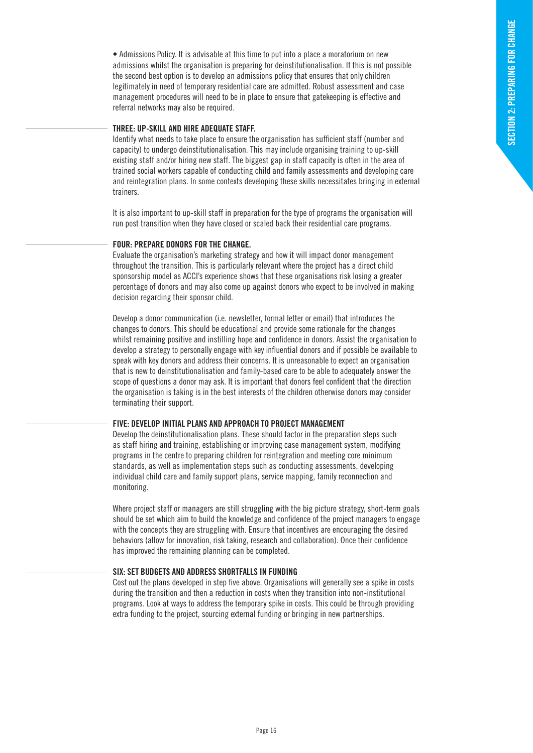• Admissions Policy. It is advisable at this time to put into a place a moratorium on new admissions whilst the organisation is preparing for deinstitutionalisation. If this is not possible the second best option is to develop an admissions policy that ensures that only children legitimately in need of temporary residential care are admitted. Robust assessment and case management procedures will need to be in place to ensure that gatekeeping is effective and referral networks may also be required.

#### **THREE: UP-SKILL AND HIRE ADEQUATE STAFF.**

Identify what needs to take place to ensure the organisation has sufficient staff (number and capacity) to undergo deinstitutionalisation. This may include organising training to up-skill existing staff and/or hiring new staff. The biggest gap in staff capacity is often in the area of trained social workers capable of conducting child and family assessments and developing care and reintegration plans. In some contexts developing these skills necessitates bringing in external trainers.

It is also important to up-skill staff in preparation for the type of programs the organisation will run post transition when they have closed or scaled back their residential care programs.

#### **FOUR: PREPARE DONORS FOR THE CHANGE.**

Evaluate the organisation's marketing strategy and how it will impact donor management throughout the transition. This is particularly relevant where the project has a direct child sponsorship model as ACCI's experience shows that these organisations risk losing a greater percentage of donors and may also come up against donors who expect to be involved in making decision regarding their sponsor child.

Develop a donor communication (i.e. newsletter, formal letter or email) that introduces the changes to donors. This should be educational and provide some rationale for the changes whilst remaining positive and instilling hope and confidence in donors. Assist the organisation to develop a strategy to personally engage with key influential donors and if possible be available to speak with key donors and address their concerns. It is unreasonable to expect an organisation that is new to deinstitutionalisation and family-based care to be able to adequately answer the scope of questions a donor may ask. It is important that donors feel confident that the direction the organisation is taking is in the best interests of the children otherwise donors may consider terminating their support.

#### **FIVE: DEVELOP INITIAL PLANS AND APPROACH TO PROJECT MANAGEMENT**

Develop the deinstitutionalisation plans. These should factor in the preparation steps such as staff hiring and training, establishing or improving case management system, modifying programs in the centre to preparing children for reintegration and meeting core minimum standards, as well as implementation steps such as conducting assessments, developing individual child care and family support plans, service mapping, family reconnection and monitoring.

Where project staff or managers are still struggling with the big picture strategy, short-term goals should be set which aim to build the knowledge and confidence of the project managers to engage with the concepts they are struggling with. Ensure that incentives are encouraging the desired behaviors (allow for innovation, risk taking, research and collaboration). Once their confidence has improved the remaining planning can be completed.

#### **SIX: SET BUDGETS AND ADDRESS SHORTFALLS IN FUNDING**

Cost out the plans developed in step five above. Organisations will generally see a spike in costs during the transition and then a reduction in costs when they transition into non-institutional programs. Look at ways to address the temporary spike in costs. This could be through providing extra funding to the project, sourcing external funding or bringing in new partnerships.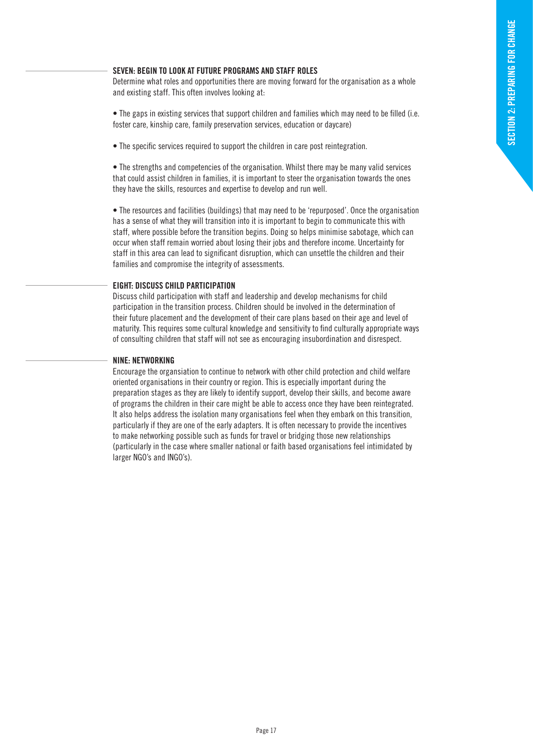#### **SEVEN: BEGIN TO LOOK AT FUTURE PROGRAMS AND STAFF ROLES**

Determine what roles and opportunities there are moving forward for the organisation as a whole and existing staff. This often involves looking at:

• The gaps in existing services that support children and families which may need to be filled (i.e. foster care, kinship care, family preservation services, education or daycare)

• The specific services required to support the children in care post reintegration.

• The strengths and competencies of the organisation. Whilst there may be many valid services that could assist children in families, it is important to steer the organisation towards the ones they have the skills, resources and expertise to develop and run well.

• The resources and facilities (buildings) that may need to be 'repurposed'. Once the organisation has a sense of what they will transition into it is important to begin to communicate this with staff, where possible before the transition begins. Doing so helps minimise sabotage, which can occur when staff remain worried about losing their jobs and therefore income. Uncertainty for staff in this area can lead to significant disruption, which can unsettle the children and their families and compromise the integrity of assessments.

#### **EIGHT: DISCUSS CHILD PARTICIPATION**

Discuss child participation with staff and leadership and develop mechanisms for child participation in the transition process. Children should be involved in the determination of their future placement and the development of their care plans based on their age and level of maturity. This requires some cultural knowledge and sensitivity to find culturally appropriate ways of consulting children that staff will not see as encouraging insubordination and disrespect.

#### **NINE: NETWORKING**

Encourage the organsiation to continue to network with other child protection and child welfare oriented organisations in their country or region. This is especially important during the preparation stages as they are likely to identify support, develop their skills, and become aware of programs the children in their care might be able to access once they have been reintegrated. It also helps address the isolation many organisations feel when they embark on this transition, particularly if they are one of the early adapters. It is often necessary to provide the incentives to make networking possible such as funds for travel or bridging those new relationships (particularly in the case where smaller national or faith based organisations feel intimidated by larger NGO's and INGO's).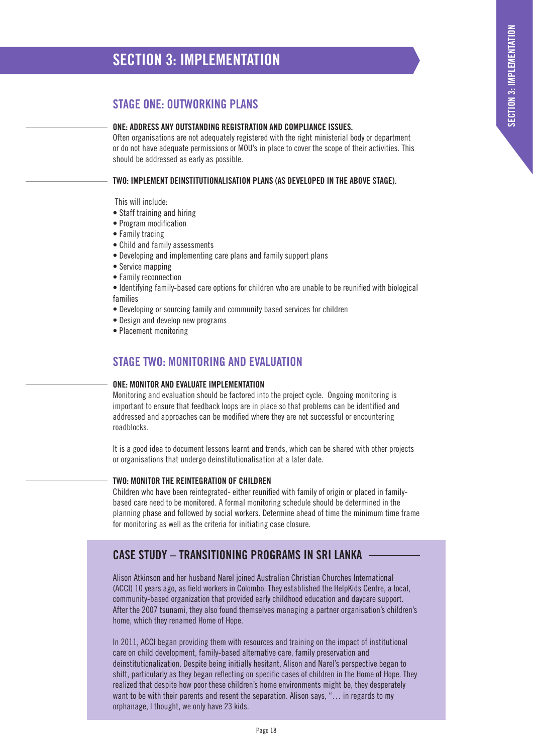# **SECTION 3: IMPLEMENTATION**

# **STAGE ONE: OUTWORKING PLANS**

#### **ONE: ADDRESS ANY OUTSTANDING REGISTRATION AND COMPLIANCE ISSUES.**

Often organisations are not adequately registered with the right ministerial body or department or do not have adequate permissions or MOU's in place to cover the scope of their activities. This should be addressed as early as possible.

#### **TWO: IMPLEMENT DEINSTITUTIONALISATION PLANS (AS DEVELOPED IN THE ABOVE STAGE).**

This will include:

- Staff training and hiring
- Program modification
- Family tracing
- Child and family assessments
- Developing and implementing care plans and family support plans
- Service mapping
- Family reconnection
- Identifying family-based care options for children who are unable to be reunified with biological families
- Developing or sourcing family and community based services for children
- Design and develop new programs
- Placement monitoring

### **STAGE TWO: MONITORING AND EVALUATION**

#### **ONE: MONITOR AND EVALUATE IMPLEMENTATION**

Monitoring and evaluation should be factored into the project cycle. Ongoing monitoring is important to ensure that feedback loops are in place so that problems can be identified and addressed and approaches can be modified where they are not successful or encountering roadblocks.

It is a good idea to document lessons learnt and trends, which can be shared with other projects or organisations that undergo deinstitutionalisation at a later date.

#### **TWO: MONITOR THE REINTEGRATION OF CHILDREN**

Children who have been reintegrated- either reunified with family of origin or placed in familybased care need to be monitored. A formal monitoring schedule should be determined in the planning phase and followed by social workers. Determine ahead of time the minimum time frame for monitoring as well as the criteria for initiating case closure.

# **CASE STUDY – TRANSITIONING PROGRAMS IN SRI LANKA**

Alison Atkinson and her husband Narel joined Australian Christian Churches International (ACCI) 10 years ago, as field workers in Colombo. They established the HelpKids Centre, a local, community-based organization that provided early childhood education and daycare support. After the 2007 tsunami, they also found themselves managing a partner organisation's children's home, which they renamed Home of Hope.

In 2011, ACCI began providing them with resources and training on the impact of institutional care on child development, family-based alternative care, family preservation and deinstitutionalization. Despite being initially hesitant, Alison and Narel's perspective began to shift, particularly as they began reflecting on specific cases of children in the Home of Hope. They realized that despite how poor these children's home environments might be, they desperately want to be with their parents and resent the separation. Alison says, "… in regards to my orphanage, I thought, we only have 23 kids.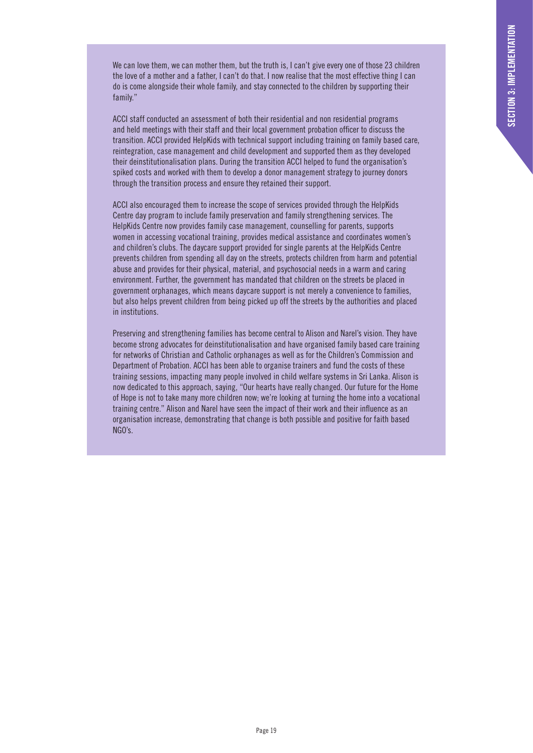We can love them, we can mother them, but the truth is, I can't give every one of those 23 children the love of a mother and a father, I can't do that. I now realise that the most effective thing I can do is come alongside their whole family, and stay connected to the children by supporting their family."

ACCI staff conducted an assessment of both their residential and non residential programs and held meetings with their staff and their local government probation officer to discuss the transition. ACCI provided HelpKids with technical support including training on family based care, reintegration, case management and child development and supported them as they developed their deinstitutionalisation plans. During the transition ACCI helped to fund the organisation's spiked costs and worked with them to develop a donor management strategy to journey donors through the transition process and ensure they retained their support.

ACCI also encouraged them to increase the scope of services provided through the HelpKids Centre day program to include family preservation and family strengthening services. The HelpKids Centre now provides family case management, counselling for parents, supports women in accessing vocational training, provides medical assistance and coordinates women's and children's clubs. The daycare support provided for single parents at the HelpKids Centre prevents children from spending all day on the streets, protects children from harm and potential abuse and provides for their physical, material, and psychosocial needs in a warm and caring environment. Further, the government has mandated that children on the streets be placed in government orphanages, which means daycare support is not merely a convenience to families, but also helps prevent children from being picked up off the streets by the authorities and placed in institutions.

Preserving and strengthening families has become central to Alison and Narel's vision. They have become strong advocates for deinstitutionalisation and have organised family based care training for networks of Christian and Catholic orphanages as well as for the Children's Commission and Department of Probation. ACCI has been able to organise trainers and fund the costs of these training sessions, impacting many people involved in child welfare systems in Sri Lanka. Alison is now dedicated to this approach, saying, "Our hearts have really changed. Our future for the Home of Hope is not to take many more children now; we're looking at turning the home into a vocational training centre." Alison and Narel have seen the impact of their work and their influence as an organisation increase, demonstrating that change is both possible and positive for faith based NGO's.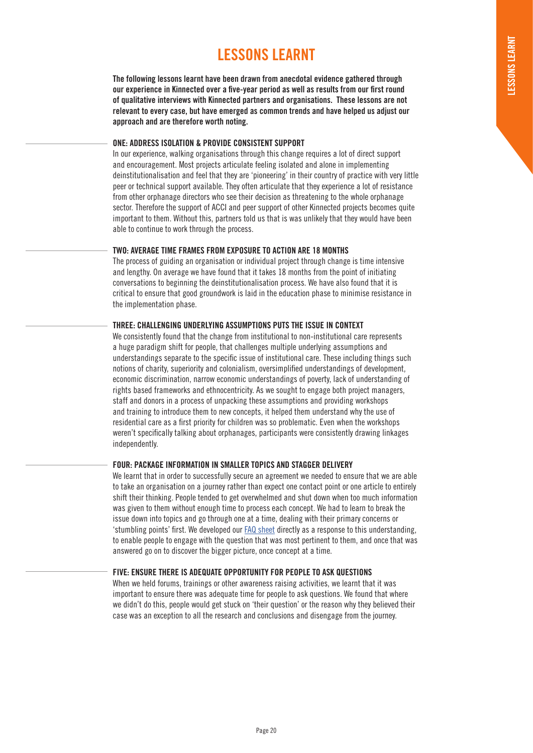# **LESSONS LEARNT**

**The following lessons learnt have been drawn from anecdotal evidence gathered through our experience in Kinnected over a five-year period as well as results from our first round of qualitative interviews with Kinnected partners and organisations. These lessons are not relevant to every case, but have emerged as common trends and have helped us adjust our approach and are therefore worth noting.**

#### **ONE: ADDRESS ISOLATION & PROVIDE CONSISTENT SUPPORT**

In our experience, walking organisations through this change requires a lot of direct support and encouragement. Most projects articulate feeling isolated and alone in implementing deinstitutionalisation and feel that they are 'pioneering' in their country of practice with very little peer or technical support available. They often articulate that they experience a lot of resistance from other orphanage directors who see their decision as threatening to the whole orphanage sector. Therefore the support of ACCI and peer support of other Kinnected projects becomes quite important to them. Without this, partners told us that is was unlikely that they would have been able to continue to work through the process.

#### **TWO: AVERAGE TIME FRAMES FROM EXPOSURE TO ACTION ARE 18 MONTHS**

The process of guiding an organisation or individual project through change is time intensive and lengthy. On average we have found that it takes 18 months from the point of initiating conversations to beginning the deinstitutionalisation process. We have also found that it is critical to ensure that good groundwork is laid in the education phase to minimise resistance in the implementation phase.

#### **THREE: CHALLENGING UNDERLYING ASSUMPTIONS PUTS THE ISSUE IN CONTEXT**

We consistently found that the change from institutional to non-institutional care represents a huge paradigm shift for people, that challenges multiple underlying assumptions and understandings separate to the specific issue of institutional care. These including things such notions of charity, superiority and colonialism, oversimplified understandings of development, economic discrimination, narrow economic understandings of poverty, lack of understanding of rights based frameworks and ethnocentricity. As we sought to engage both project managers, staff and donors in a process of unpacking these assumptions and providing workshops and training to introduce them to new concepts, it helped them understand why the use of residential care as a first priority for children was so problematic. Even when the workshops weren't specifically talking about orphanages, participants were consistently drawing linkages independently.

#### **FOUR: PACKAGE INFORMATION IN SMALLER TOPICS AND STAGGER DELIVERY**

We learnt that in order to successfully secure an agreement we needed to ensure that we are able to take an organisation on a journey rather than expect one contact point or one article to entirely shift their thinking. People tended to get overwhelmed and shut down when too much information was given to them without enough time to process each concept. We had to learn to break the issue down into topics and go through one at a time, dealing with their primary concerns or 'stumbling points' first. We developed our FAQ sheet directly as a response to this understanding, to enable people to engage with the question that was most pertinent to them, and once that was answered go on to discover the bigger picture, once concept at a time.

#### **FIVE: ENSURE THERE IS ADEQUATE OPPORTUNITY FOR PEOPLE TO ASK QUESTIONS**

When we held forums, trainings or other awareness raising activities, we learnt that it was important to ensure there was adequate time for people to ask questions. We found that where we didn't do this, people would get stuck on 'their question' or the reason why they believed their case was an exception to all the research and conclusions and disengage from the journey.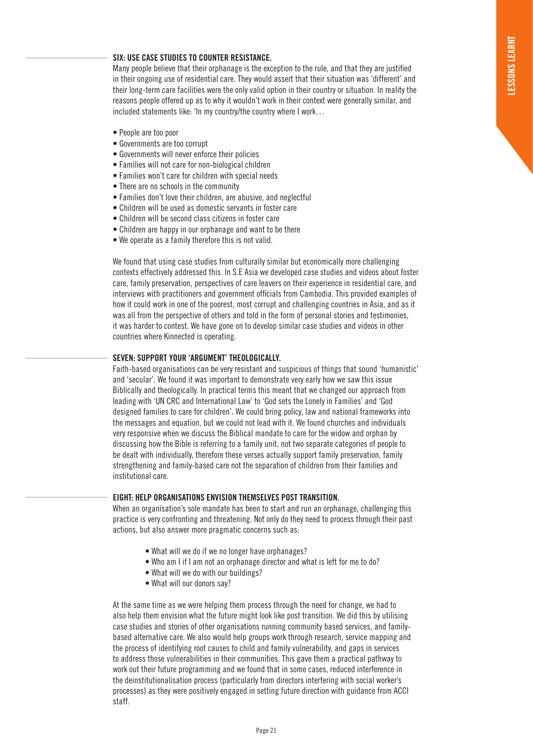#### **SIX: USE CASE STUDIES TO COUNTER RESISTANCE.**

Many people believe that their orphanage is the exception to the rule, and that they are justified in their ongoing use of residential care. They would assert that their situation was 'different' and their long-term care facilities were the only valid option in their country or situation. In reality the reasons people offered up as to why it wouldn't work in their context were generally similar, and included statements like: 'In my country/the country where I work…

- People are too poor
- Governments are too corrupt
- Governments will never enforce their policies
- Families will not care for non-biological children
- Families won't care for children with special needs
- There are no schools in the community
- Families don't love their children, are abusive, and neglectful
- Children will be used as domestic servants in foster care
- Children will be second class citizens in foster care
- Children are happy in our orphanage and want to be there
- We operate as a family therefore this is not valid.

We found that using case studies from culturally similar but economically more challenging contexts effectively addressed this. In S.E Asia we developed case studies and videos about foster care, family preservation, perspectives of care leavers on their experience in residential care, and interviews with practitioners and government officials from Cambodia. This provided examples of how it could work in one of the poorest, most corrupt and challenging countries in Asia, and as it was all from the perspective of others and told in the form of personal stories and testimonies, it was harder to contest. We have gone on to develop similar case studies and videos in other countries where Kinnected is operating.

#### **SEVEN: SUPPORT YOUR 'ARGUMENT' THEOLOGICALLY.**

Faith-based organisations can be very resistant and suspicious of things that sound 'humanistic' and 'secular'. We found it was important to demonstrate very early how we saw this issue Biblically and theologically. In practical terms this meant that we changed our approach from leading with 'UN CRC and International Law' to 'God sets the Lonely in Families' and 'God designed families to care for children'. We could bring policy, law and national frameworks into the messages and equation, but we could not lead with it. We found churches and individuals very responsive when we discuss the Biblical mandate to care for the widow and orphan by discussing how the Bible is referring to a family unit, not two separate categories of people to be dealt with individually, therefore these verses actually support family preservation, family strengthening and family-based care not the separation of children from their families and institutional care.

#### **EIGHT: HELP ORGANISATIONS ENVISION THEMSELVES POST TRANSITION.**

When an organisation's sole mandate has been to start and run an orphanage, challenging this practice is very confronting and threatening. Not only do they need to process through their past actions, but also answer more pragmatic concerns such as:

- What will we do if we no longer have orphanages?
- Who am I if I am not an orphanage director and what is left for me to do?
- What will we do with our buildings?
- What will our donors say?

At the same time as we were helping them process through the need for change, we had to also help them envision what the future might look like post transition. We did this by utilising case studies and stories of other organisations running community based services, and familybased alternative care. We also would help groups work through research, service mapping and the process of identifying root causes to child and family vulnerability, and gaps in services to address those vulnerabilities in their communities. This gave them a practical pathway to work out their future programming and we found that in some cases, reduced interference in the deinstitutionalisation process (particularly from directors interfering with social worker's processes) as they were positively engaged in setting future direction with guidance from ACCI staff.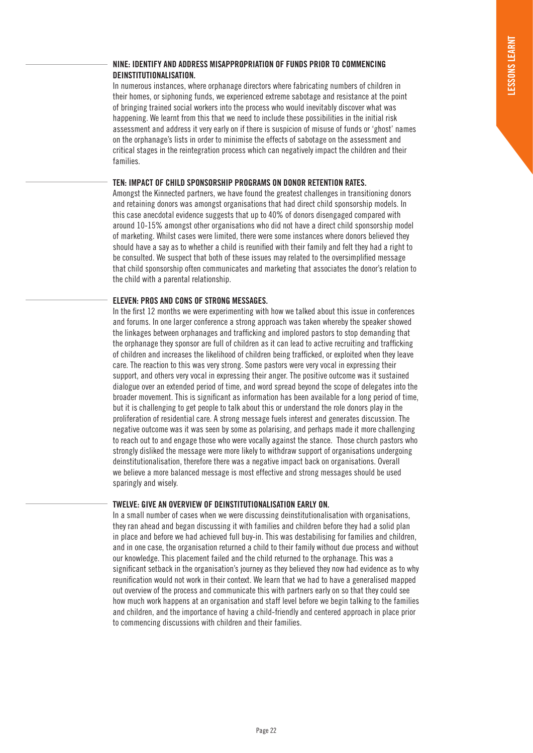#### **NINE: IDENTIFY AND ADDRESS MISAPPROPRIATION OF FUNDS PRIOR TO COMMENCING DEINSTITUTIONALISATION.**

In numerous instances, where orphanage directors where fabricating numbers of children in their homes, or siphoning funds, we experienced extreme sabotage and resistance at the point of bringing trained social workers into the process who would inevitably discover what was happening. We learnt from this that we need to include these possibilities in the initial risk assessment and address it very early on if there is suspicion of misuse of funds or 'ghost' names on the orphanage's lists in order to minimise the effects of sabotage on the assessment and critical stages in the reintegration process which can negatively impact the children and their families.

#### **TEN: IMPACT OF CHILD SPONSORSHIP PROGRAMS ON DONOR RETENTION RATES.**

Amongst the Kinnected partners, we have found the greatest challenges in transitioning donors and retaining donors was amongst organisations that had direct child sponsorship models. In this case anecdotal evidence suggests that up to 40% of donors disengaged compared with around 10-15% amongst other organisations who did not have a direct child sponsorship model of marketing. Whilst cases were limited, there were some instances where donors believed they should have a say as to whether a child is reunified with their family and felt they had a right to be consulted. We suspect that both of these issues may related to the oversimplified message that child sponsorship often communicates and marketing that associates the donor's relation to the child with a parental relationship.

#### **ELEVEN: PROS AND CONS OF STRONG MESSAGES.**

In the first 12 months we were experimenting with how we talked about this issue in conferences and forums. In one larger conference a strong approach was taken whereby the speaker showed the linkages between orphanages and trafficking and implored pastors to stop demanding that the orphanage they sponsor are full of children as it can lead to active recruiting and trafficking of children and increases the likelihood of children being trafficked, or exploited when they leave care. The reaction to this was very strong. Some pastors were very vocal in expressing their support, and others very vocal in expressing their anger. The positive outcome was it sustained dialogue over an extended period of time, and word spread beyond the scope of delegates into the broader movement. This is significant as information has been available for a long period of time, but it is challenging to get people to talk about this or understand the role donors play in the proliferation of residential care. A strong message fuels interest and generates discussion. The negative outcome was it was seen by some as polarising, and perhaps made it more challenging to reach out to and engage those who were vocally against the stance. Those church pastors who strongly disliked the message were more likely to withdraw support of organisations undergoing deinstitutionalisation, therefore there was a negative impact back on organisations. Overall we believe a more balanced message is most effective and strong messages should be used sparingly and wisely.

#### **TWELVE: GIVE AN OVERVIEW OF DEINSTITUTIONALISATION EARLY ON.**

In a small number of cases when we were discussing deinstitutionalisation with organisations, they ran ahead and began discussing it with families and children before they had a solid plan in place and before we had achieved full buy-in. This was destabilising for families and children, and in one case, the organisation returned a child to their family without due process and without our knowledge. This placement failed and the child returned to the orphanage. This was a significant setback in the organisation's journey as they believed they now had evidence as to why reunification would not work in their context. We learn that we had to have a generalised mapped out overview of the process and communicate this with partners early on so that they could see how much work happens at an organisation and staff level before we begin talking to the families and children, and the importance of having a child-friendly and centered approach in place prior to commencing discussions with children and their families.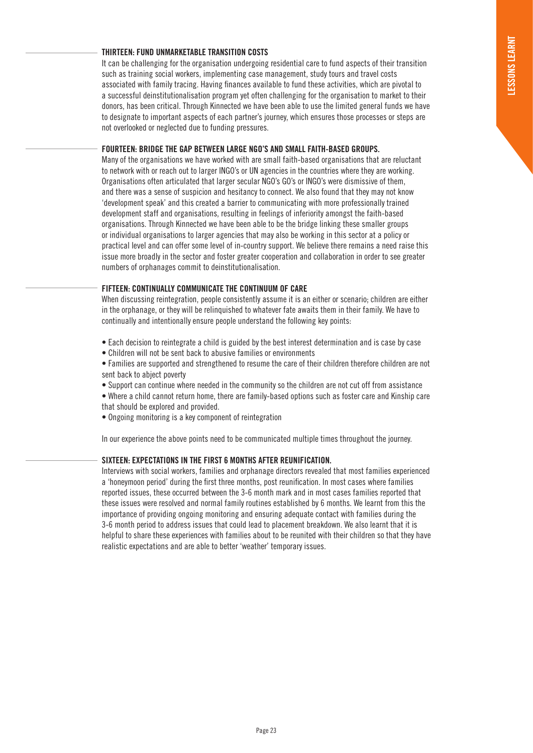#### **THIRTEEN: FUND UNMARKETABLE TRANSITION COSTS**

It can be challenging for the organisation undergoing residential care to fund aspects of their transition such as training social workers, implementing case management, study tours and travel costs associated with family tracing. Having finances available to fund these activities, which are pivotal to a successful deinstitutionalisation program yet often challenging for the organisation to market to their donors, has been critical. Through Kinnected we have been able to use the limited general funds we have to designate to important aspects of each partner's journey, which ensures those processes or steps are not overlooked or neglected due to funding pressures.

#### **FOURTEEN: BRIDGE THE GAP BETWEEN LARGE NGO'S AND SMALL FAITH-BASED GROUPS.**

Many of the organisations we have worked with are small faith-based organisations that are reluctant to network with or reach out to larger INGO's or UN agencies in the countries where they are working. Organisations often articulated that larger secular NGO's GO's or INGO's were dismissive of them, and there was a sense of suspicion and hesitancy to connect. We also found that they may not know 'development speak' and this created a barrier to communicating with more professionally trained development staff and organisations, resulting in feelings of inferiority amongst the faith-based organisations. Through Kinnected we have been able to be the bridge linking these smaller groups or individual organisations to larger agencies that may also be working in this sector at a policy or practical level and can offer some level of in-country support. We believe there remains a need raise this issue more broadly in the sector and foster greater cooperation and collaboration in order to see greater numbers of orphanages commit to deinstitutionalisation.

#### **FIFTEEN: CONTINUALLY COMMUNICATE THE CONTINUUM OF CARE**

When discussing reintegration, people consistently assume it is an either or scenario; children are either in the orphanage, or they will be relinquished to whatever fate awaits them in their family. We have to continually and intentionally ensure people understand the following key points:

- Each decision to reintegrate a child is guided by the best interest determination and is case by case
- Children will not be sent back to abusive families or environments
- Families are supported and strengthened to resume the care of their children therefore children are not sent back to abject poverty
- Support can continue where needed in the community so the children are not cut off from assistance
- Where a child cannot return home, there are family-based options such as foster care and Kinship care that should be explored and provided.
- Ongoing monitoring is a key component of reintegration

In our experience the above points need to be communicated multiple times throughout the journey.

#### **SIXTEEN: EXPECTATIONS IN THE FIRST 6 MONTHS AFTER REUNIFICATION.**

Interviews with social workers, families and orphanage directors revealed that most families experienced a 'honeymoon period' during the first three months, post reunification. In most cases where families reported issues, these occurred between the 3-6 month mark and in most cases families reported that these issues were resolved and normal family routines established by 6 months. We learnt from this the importance of providing ongoing monitoring and ensuring adequate contact with families during the 3-6 month period to address issues that could lead to placement breakdown. We also learnt that it is helpful to share these experiences with families about to be reunited with their children so that they have realistic expectations and are able to better 'weather' temporary issues.